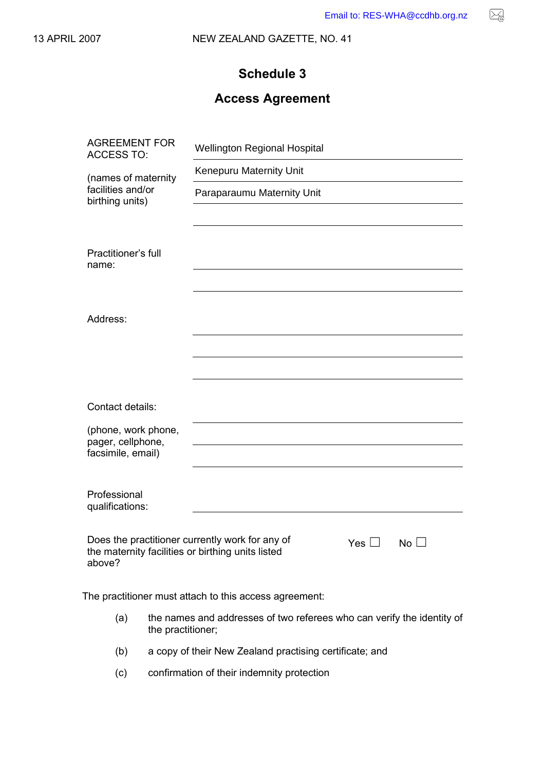$\boxtimes$ 

# **Schedule 3**

# **Access Agreement**

|                                                                                                                | Email to: RES-WHA@ccdhb.org.nz      |
|----------------------------------------------------------------------------------------------------------------|-------------------------------------|
| 007                                                                                                            | NEW ZEALAND GAZETTE, NO. 41         |
|                                                                                                                | <b>Schedule 3</b>                   |
|                                                                                                                | <b>Access Agreement</b>             |
| <b>AGREEMENT FOR</b><br><b>ACCESS TO:</b>                                                                      | <b>Wellington Regional Hospital</b> |
| (names of maternity<br>facilities and/or<br>birthing units)                                                    | Kenepuru Maternity Unit             |
|                                                                                                                | Paraparaumu Maternity Unit          |
| Practitioner's full                                                                                            |                                     |
| name:                                                                                                          |                                     |
| Address:                                                                                                       |                                     |
|                                                                                                                |                                     |
| Contact details:                                                                                               |                                     |
| (phone, work phone,<br>pager, cellphone,<br>facsimile, email)                                                  |                                     |
| Professional<br>qualifications:                                                                                |                                     |
| Does the practitioner currently work for any of<br>the maternity facilities or birthing units listed<br>above? | Yes $\Box$<br>No $\Box$             |

The practitioner must attach to this access agreement:

- (a) the names and addresses of two referees who can verify the identity of the practitioner;
- (b) a copy of their New Zealand practising certificate; and
- (c) confirmation of their indemnity protection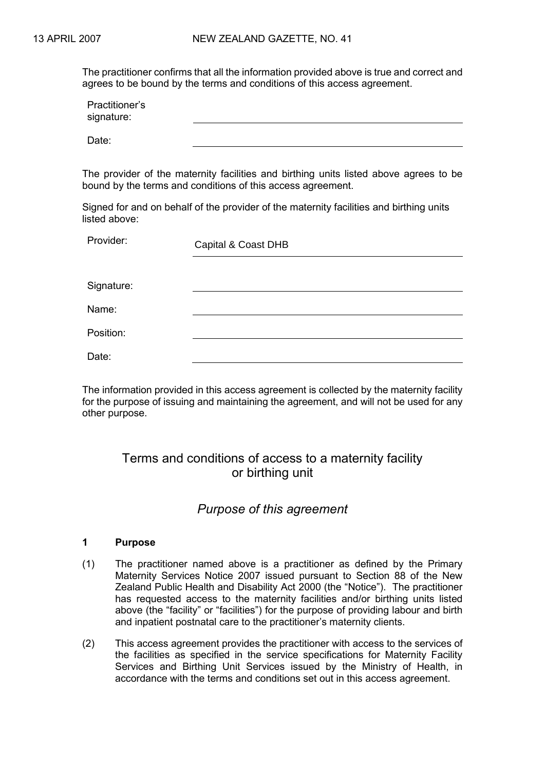The practitioner confirms that all the information provided above is true and correct and agrees to be bound by the terms and conditions of this access agreement.

| Practitioner's<br>signature: |  |
|------------------------------|--|
| Date:                        |  |

The provider of the maternity facilities and birthing units listed above agrees to be bound by the terms and conditions of this access agreement.

Signed for and on behalf of the provider of the maternity facilities and birthing units listed above:

Provider:

Capital & Coast DHB

Signature:

Name:

Position:

Date:

The information provided in this access agreement is collected by the maternity facility for the purpose of issuing and maintaining the agreement, and will not be used for any other purpose.

# Terms and conditions of access to a maternity facility or birthing unit

## *Purpose of this agreement*

## **1 Purpose**

- (1) The practitioner named above is a practitioner as defined by the Primary Maternity Services Notice 2007 issued pursuant to Section 88 of the New Zealand Public Health and Disability Act 2000 (the "Notice"). The practitioner has requested access to the maternity facilities and/or birthing units listed above (the "facility" or "facilities") for the purpose of providing labour and birth and inpatient postnatal care to the practitioner's maternity clients.
- (2) This access agreement provides the practitioner with access to the services of the facilities as specified in the service specifications for Maternity Facility Services and Birthing Unit Services issued by the Ministry of Health, in accordance with the terms and conditions set out in this access agreement.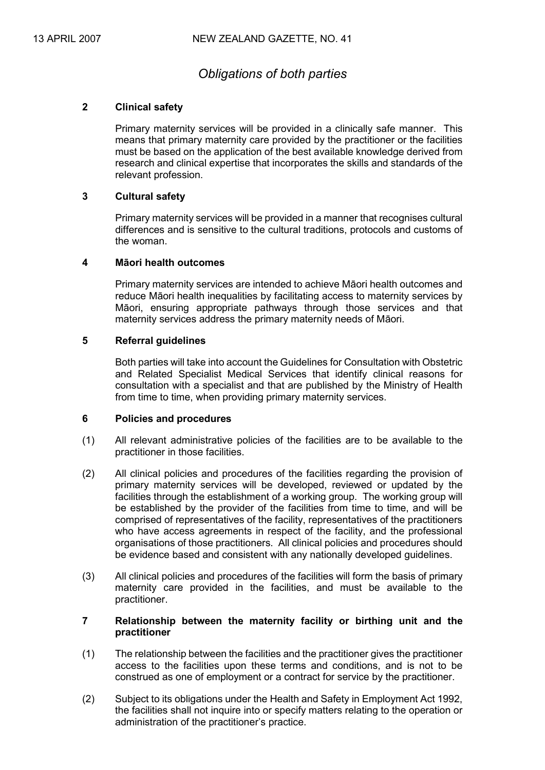## *Obligations of both parties*

### **2 Clinical safety**

Primary maternity services will be provided in a clinically safe manner. This means that primary maternity care provided by the practitioner or the facilities must be based on the application of the best available knowledge derived from research and clinical expertise that incorporates the skills and standards of the relevant profession.

## **3 Cultural safety**

Primary maternity services will be provided in a manner that recognises cultural differences and is sensitive to the cultural traditions, protocols and customs of the woman.

## **4 Māori health outcomes**

Primary maternity services are intended to achieve Māori health outcomes and reduce Māori health inequalities by facilitating access to maternity services by Māori, ensuring appropriate pathways through those services and that maternity services address the primary maternity needs of Māori.

## **5 Referral guidelines**

Both parties will take into account the Guidelines for Consultation with Obstetric and Related Specialist Medical Services that identify clinical reasons for consultation with a specialist and that are published by the Ministry of Health from time to time, when providing primary maternity services.

#### **6 Policies and procedures**

- (1) All relevant administrative policies of the facilities are to be available to the practitioner in those facilities.
- (2) All clinical policies and procedures of the facilities regarding the provision of primary maternity services will be developed, reviewed or updated by the facilities through the establishment of a working group. The working group will be established by the provider of the facilities from time to time, and will be comprised of representatives of the facility, representatives of the practitioners who have access agreements in respect of the facility, and the professional organisations of those practitioners. All clinical policies and procedures should be evidence based and consistent with any nationally developed guidelines.
- (3) All clinical policies and procedures of the facilities will form the basis of primary maternity care provided in the facilities, and must be available to the practitioner.

### **7 Relationship between the maternity facility or birthing unit and the practitioner**

- (1) The relationship between the facilities and the practitioner gives the practitioner access to the facilities upon these terms and conditions, and is not to be construed as one of employment or a contract for service by the practitioner.
- (2) Subject to its obligations under the Health and Safety in Employment Act 1992, the facilities shall not inquire into or specify matters relating to the operation or administration of the practitioner's practice.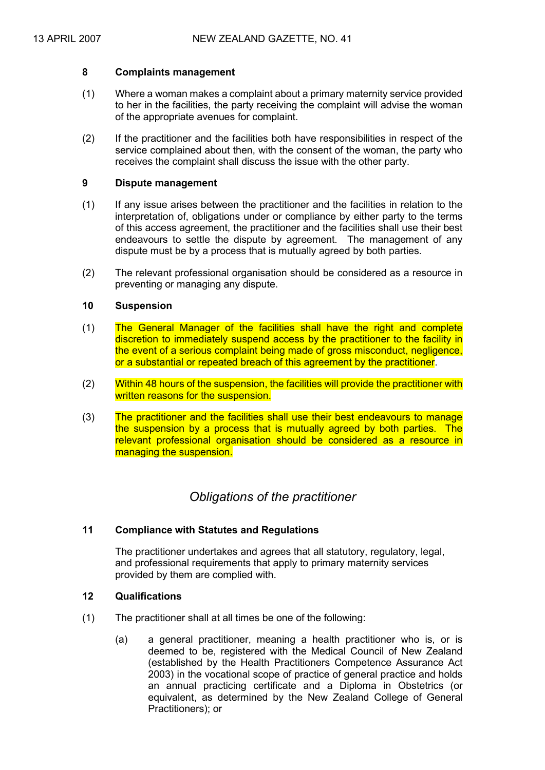#### **8 Complaints management**

- (1) Where a woman makes a complaint about a primary maternity service provided to her in the facilities, the party receiving the complaint will advise the woman of the appropriate avenues for complaint.
- (2) If the practitioner and the facilities both have responsibilities in respect of the service complained about then, with the consent of the woman, the party who receives the complaint shall discuss the issue with the other party.

#### **9 Dispute management**

- (1) If any issue arises between the practitioner and the facilities in relation to the interpretation of, obligations under or compliance by either party to the terms of this access agreement, the practitioner and the facilities shall use their best endeavours to settle the dispute by agreement. The management of any dispute must be by a process that is mutually agreed by both parties.
- (2) The relevant professional organisation should be considered as a resource in preventing or managing any dispute.

#### **10 Suspension**

- (1) The General Manager of the facilities shall have the right and complete discretion to immediately suspend access by the practitioner to the facility in the event of a serious complaint being made of gross misconduct, negligence, or a substantial or repeated breach of this agreement by the practitioner.
- (2) Within 48 hours of the suspension, the facilities will provide the practitioner with written reasons for the suspension.
- (3) The practitioner and the facilities shall use their best endeavours to manage the suspension by a process that is mutually agreed by both parties. The relevant professional organisation should be considered as a resource in managing the suspension.

## *Obligations of the practitioner*

## **11 Compliance with Statutes and Regulations**

The practitioner undertakes and agrees that all statutory, regulatory, legal, and professional requirements that apply to primary maternity services provided by them are complied with.

## **12 Qualifications**

- (1) The practitioner shall at all times be one of the following:
	- (a) a general practitioner, meaning a health practitioner who is, or is deemed to be, registered with the Medical Council of New Zealand (established by the Health Practitioners Competence Assurance Act 2003) in the vocational scope of practice of general practice and holds an annual practicing certificate and a Diploma in Obstetrics (or equivalent, as determined by the New Zealand College of General Practitioners); or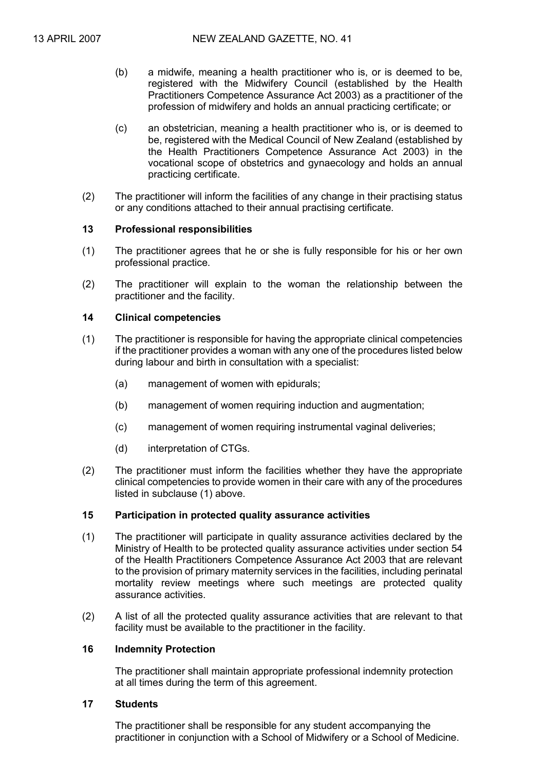- (b) a midwife, meaning a health practitioner who is, or is deemed to be, registered with the Midwifery Council (established by the Health Practitioners Competence Assurance Act 2003) as a practitioner of the profession of midwifery and holds an annual practicing certificate; or
- (c) an obstetrician, meaning a health practitioner who is, or is deemed to be, registered with the Medical Council of New Zealand (established by the Health Practitioners Competence Assurance Act 2003) in the vocational scope of obstetrics and gynaecology and holds an annual practicing certificate.
- (2) The practitioner will inform the facilities of any change in their practising status or any conditions attached to their annual practising certificate.

#### **13 Professional responsibilities**

- (1) The practitioner agrees that he or she is fully responsible for his or her own professional practice.
- (2) The practitioner will explain to the woman the relationship between the practitioner and the facility.

## **14 Clinical competencies**

- (1) The practitioner is responsible for having the appropriate clinical competencies if the practitioner provides a woman with any one of the procedures listed below during labour and birth in consultation with a specialist:
	- (a) management of women with epidurals;
	- (b) management of women requiring induction and augmentation;
	- (c) management of women requiring instrumental vaginal deliveries;
	- (d) interpretation of CTGs.
- (2) The practitioner must inform the facilities whether they have the appropriate clinical competencies to provide women in their care with any of the procedures listed in subclause (1) above.

## **15 Participation in protected quality assurance activities**

- (1) The practitioner will participate in quality assurance activities declared by the Ministry of Health to be protected quality assurance activities under section 54 of the Health Practitioners Competence Assurance Act 2003 that are relevant to the provision of primary maternity services in the facilities, including perinatal mortality review meetings where such meetings are protected quality assurance activities.
- (2) A list of all the protected quality assurance activities that are relevant to that facility must be available to the practitioner in the facility.

#### **16 Indemnity Protection**

The practitioner shall maintain appropriate professional indemnity protection at all times during the term of this agreement.

#### **17 Students**

The practitioner shall be responsible for any student accompanying the practitioner in conjunction with a School of Midwifery or a School of Medicine.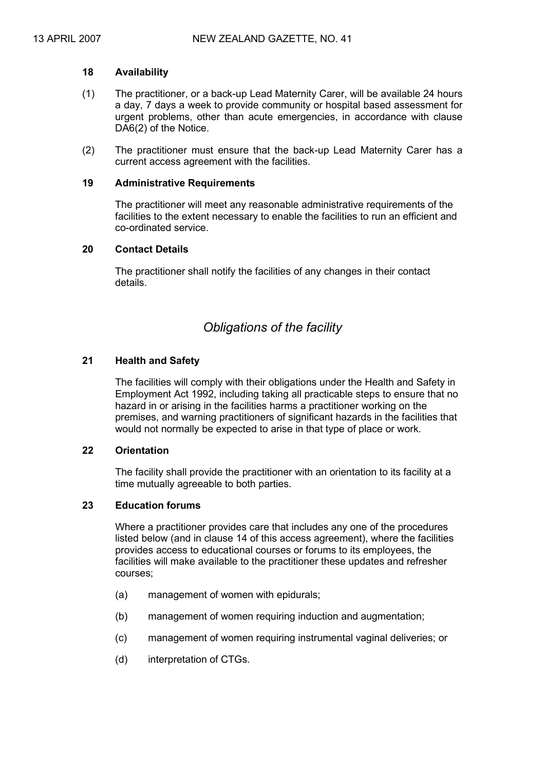#### **18 Availability**

- (1) The practitioner, or a back-up Lead Maternity Carer, will be available 24 hours a day, 7 days a week to provide community or hospital based assessment for urgent problems, other than acute emergencies, in accordance with clause DA6(2) of the Notice.
- (2) The practitioner must ensure that the back-up Lead Maternity Carer has a current access agreement with the facilities.

#### **19 Administrative Requirements**

The practitioner will meet any reasonable administrative requirements of the facilities to the extent necessary to enable the facilities to run an efficient and co-ordinated service.

#### **20 Contact Details**

The practitioner shall notify the facilities of any changes in their contact details.

## *Obligations of the facility*

#### **21 Health and Safety**

The facilities will comply with their obligations under the Health and Safety in Employment Act 1992, including taking all practicable steps to ensure that no hazard in or arising in the facilities harms a practitioner working on the premises, and warning practitioners of significant hazards in the facilities that would not normally be expected to arise in that type of place or work.

#### **22 Orientation**

The facility shall provide the practitioner with an orientation to its facility at a time mutually agreeable to both parties.

## **23 Education forums**

Where a practitioner provides care that includes any one of the procedures listed below (and in clause 14 of this access agreement), where the facilities provides access to educational courses or forums to its employees, the facilities will make available to the practitioner these updates and refresher courses;

- (a) management of women with epidurals;
- (b) management of women requiring induction and augmentation;
- (c) management of women requiring instrumental vaginal deliveries; or
- (d) interpretation of CTGs.